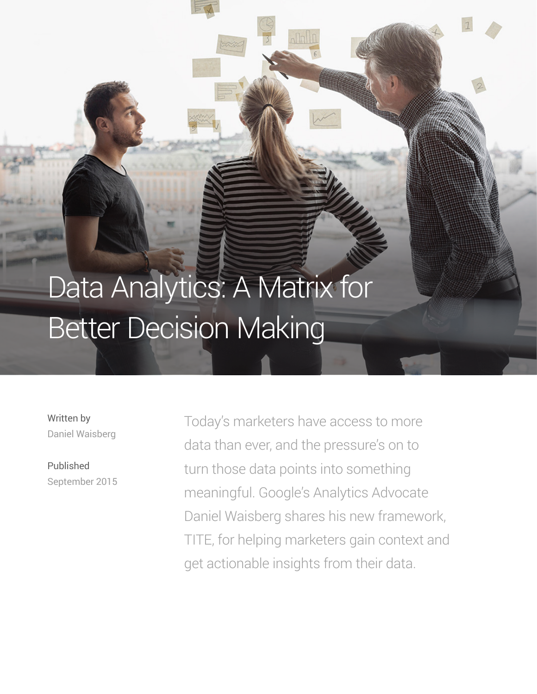# Data Analytics: A Matrix for Better Decision Making

Written by Daniel Waisberg

Published September 2015 Today's marketers have access to more data than ever, and the pressure's on to turn those data points into something meaningful. Google's Analytics Advocate Daniel Waisberg shares his new framework, TITE, for helping marketers gain context and get actionable insights from their data.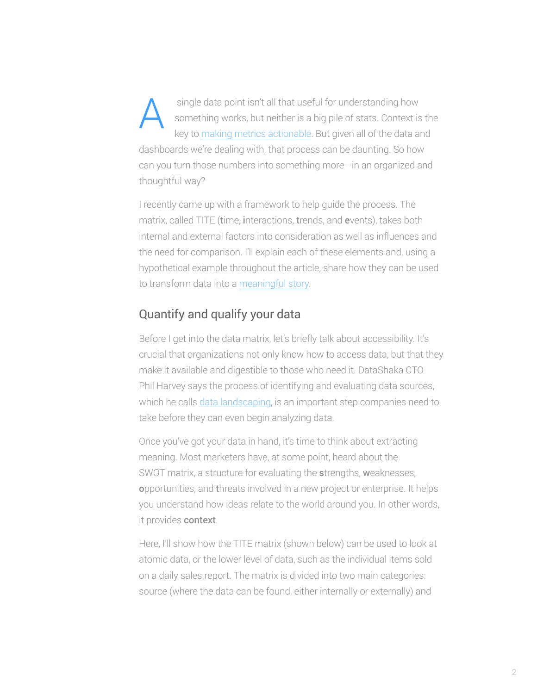single data point isn't all that useful for understanding how something works, but neither is a big pile of stats. Context is the key to making metrics actionable. But given all of the data and dashboards we're dealing with, that process can be daunting. So how can you turn those numbers into something more—in an organized and thoughtful way? A

I recently came up with a framework to help guide the process. The matrix, called TITE (time, interactions, trends, and events), takes both internal and external factors into consideration as well as influences and the need for comparison. I'll explain each of these elements and, using a hypothetical example throughout the article, share how they can be used to transform data into a meaningful story.

# Quantify and qualify your data

Before I get into the data matrix, let's briefly talk about accessibility. It's crucial that organizations not only know how to access data, but that they make it available and digestible to those who need it. DataShaka CTO Phil Harvey says the process of identifying and evaluating data sources, which he calls data landscaping, is an important step companies need to take before they can even begin analyzing data.

Once you've got your data in hand, it's time to think about extracting meaning. Most marketers have, at some point, heard about the SWOT matrix, a structure for evaluating the strengths, weaknesses, opportunities, and threats involved in a new project or enterprise. It helps you understand how ideas relate to the world around you. In other words, it provides context.

Here, I'll show how the TITE matrix (shown below) can be used to look at atomic data, or the lower level of data, such as the individual items sold on a daily sales report. The matrix is divided into two main categories: source (where the data can be found, either internally or externally) and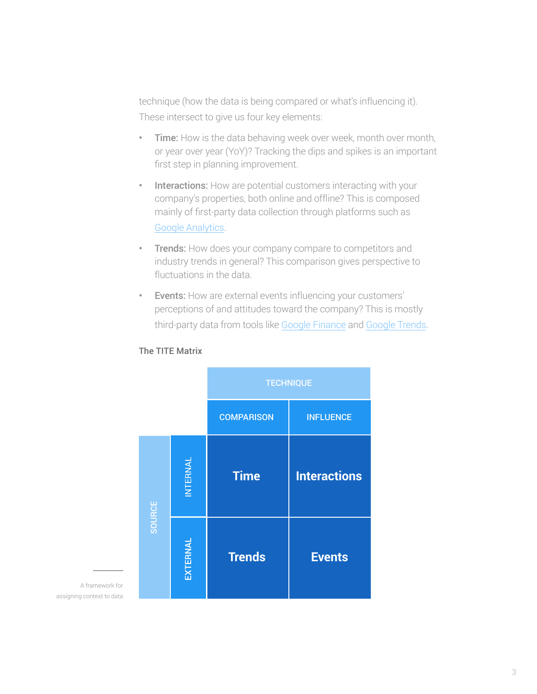technique (how the data is being compared or what's influencing it). These intersect to give us four key elements:

- Time: How is the data behaving week over week, month over month, or year over year (YoY)? Tracking the dips and spikes is an important first step in planning improvement.
- Interactions: How are potential customers interacting with your company's properties, both online and offline? This is composed mainly of first-party data collection through platforms such as Google Analytics.
- Trends: How does your company compare to competitors and industry trends in general? This comparison gives perspective to fluctuations in the data.
- Events: How are external events influencing your customers' perceptions of and attitudes toward the company? This is mostly third-party data from tools like Google Finance and Google Trends.



#### The TITE Matrix

A framework for assigning context to data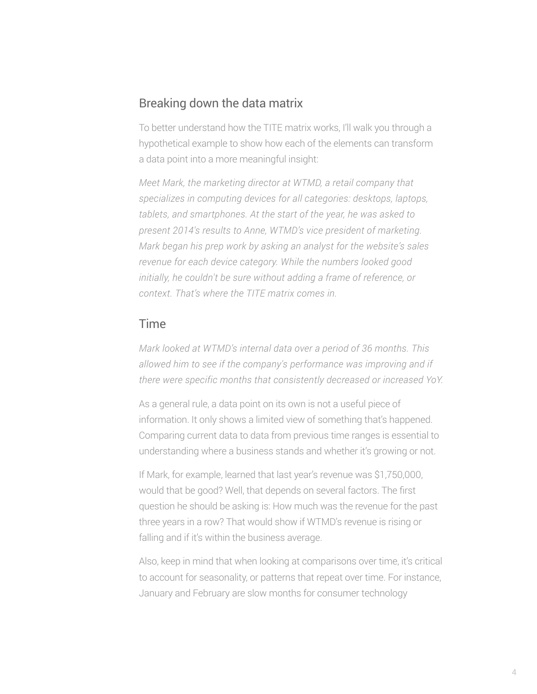## Breaking down the data matrix

To better understand how the TITE matrix works, I'll walk you through a hypothetical example to show how each of the elements can transform a data point into a more meaningful insight:

*Meet Mark, the marketing director at WTMD, a retail company that specializes in computing devices for all categories: desktops, laptops, tablets, and smartphones. At the start of the year, he was asked to present 2014's results to Anne, WTMD's vice president of marketing. Mark began his prep work by asking an analyst for the website's sales revenue for each device category. While the numbers looked good initially, he couldn't be sure without adding a frame of reference, or context. That's where the TITE matrix comes in.*

## Time

*Mark looked at WTMD's internal data over a period of 36 months. This allowed him to see if the company's performance was improving and if there were specific months that consistently decreased or increased YoY.*

As a general rule, a data point on its own is not a useful piece of information. It only shows a limited view of something that's happened. Comparing current data to data from previous time ranges is essential to understanding where a business stands and whether it's growing or not.

If Mark, for example, learned that last year's revenue was \$1,750,000, would that be good? Well, that depends on several factors. The first question he should be asking is: How much was the revenue for the past three years in a row? That would show if WTMD's revenue is rising or falling and if it's within the business average.

Also, keep in mind that when looking at comparisons over time, it's critical to account for seasonality, or patterns that repeat over time. For instance, January and February are slow months for consumer technology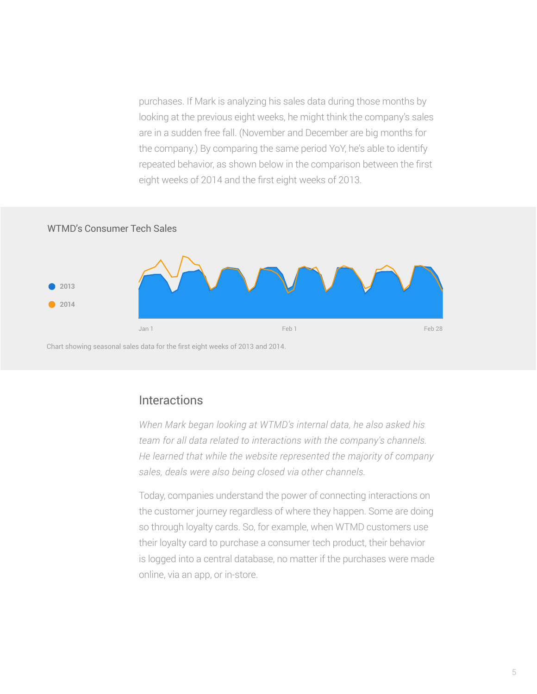purchases. If Mark is analyzing his sales data during those months by looking at the previous eight weeks, he might think the company's sales are in a sudden free fall. (November and December are big months for the company.) By comparing the same period YoY, he's able to identify repeated behavior, as shown below in the comparison between the first eight weeks of 2014 and the first eight weeks of 2013.

#### WTMD's Consumer Tech Sales



Chart showing seasonal sales data for the first eight weeks of 2013 and 2014.

#### Interactions

*When Mark began looking at WTMD's internal data, he also asked his team for all data related to interactions with the company's channels. He learned that while the website represented the majority of company sales, deals were also being closed via other channels.* 

Today, companies understand the power of connecting interactions on the customer journey regardless of where they happen. Some are doing so through loyalty cards. So, for example, when WTMD customers use their loyalty card to purchase a consumer tech product, their behavior is logged into a central database, no matter if the purchases were made online, via an app, or in-store.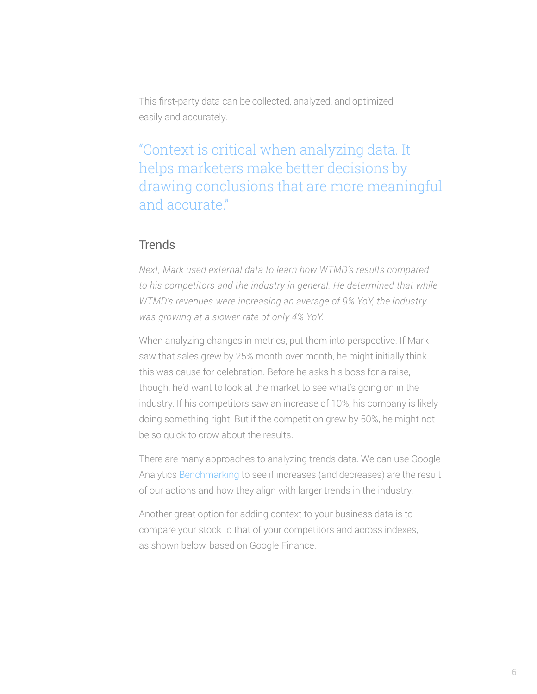This first-party data can be collected, analyzed, and optimized easily and accurately.

"Context is critical when analyzing data. It helps marketers make better decisions by drawing conclusions that are more meaningful and accurate."

## **Trends**

*Next, Mark used external data to learn how WTMD's results compared to his competitors and the industry in general. He determined that while WTMD's revenues were increasing an average of 9% YoY, the industry was growing at a slower rate of only 4% YoY.* 

When analyzing changes in metrics, put them into perspective. If Mark saw that sales grew by 25% month over month, he might initially think this was cause for celebration. Before he asks his boss for a raise, though, he'd want to look at the market to see what's going on in the industry. If his competitors saw an increase of 10%, his company is likely doing something right. But if the competition grew by 50%, he might not be so quick to crow about the results.

There are many approaches to analyzing trends data. We can use Google Analytics Benchmarking to see if increases (and decreases) are the result of our actions and how they align with larger trends in the industry.

Another great option for adding context to your business data is to compare your stock to that of your competitors and across indexes, as shown below, based on Google Finance.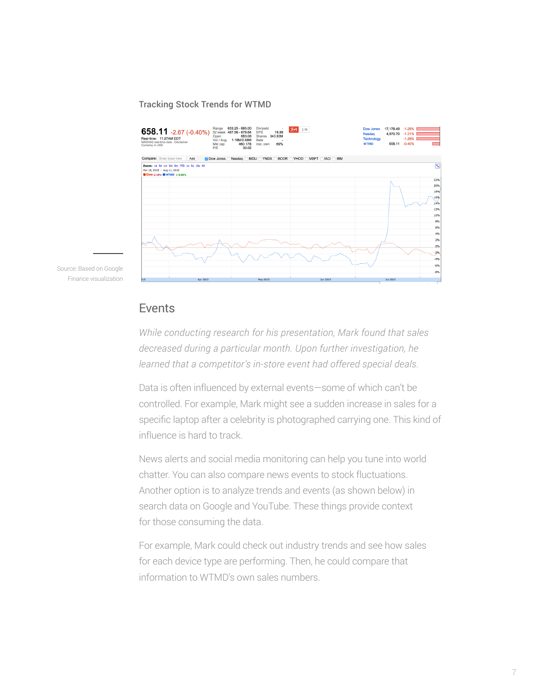#### Tracking Stock Trends for WTMD



Source: Based on Google Finance visualization

#### Events

*While conducting research for his presentation, Mark found that sales decreased during a particular month. Upon further investigation, he learned that a competitor's in-store event had offered special deals.*

Data is often influenced by external events—some of which can't be controlled. For example, Mark might see a sudden increase in sales for a specific laptop after a celebrity is photographed carrying one. This kind of influence is hard to track.

News alerts and social media monitoring can help you tune into world chatter. You can also compare news events to stock fluctuations. Another option is to analyze trends and events (as shown below) in search data on Google and YouTube. These things provide context for those consuming the data.

For example, Mark could check out industry trends and see how sales for each device type are performing. Then, he could compare that information to WTMD's own sales numbers.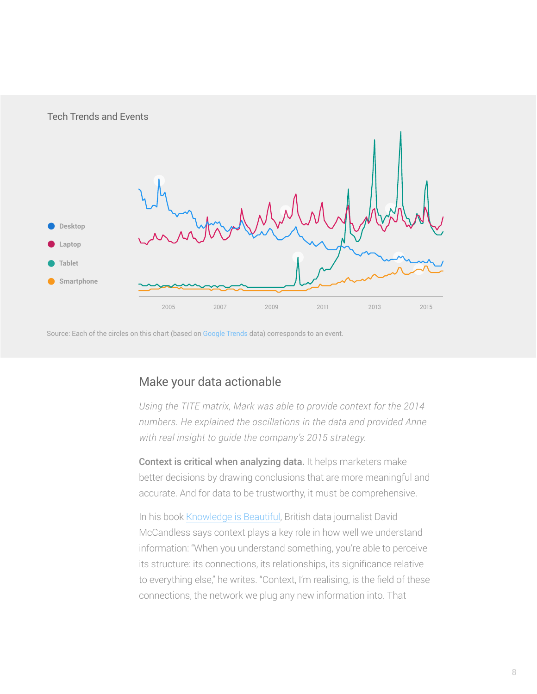

Source: Each of the circles on this chart (based on Google Trends data) corresponds to an event.

# Make your data actionable

*Using the TITE matrix, Mark was able to provide context for the 2014 numbers. He explained the oscillations in the data and provided Anne with real insight to guide the company's 2015 strategy.*

Context is critical when analyzing data. It helps marketers make better decisions by drawing conclusions that are more meaningful and accurate. And for data to be trustworthy, it must be comprehensive.

In his book Knowledge is Beautiful, British data journalist David McCandless says context plays a key role in how well we understand information: "When you understand something, you're able to perceive its structure: its connections, its relationships, its significance relative to everything else," he writes. "Context, I'm realising, is the field of these connections, the network we plug any new information into. That